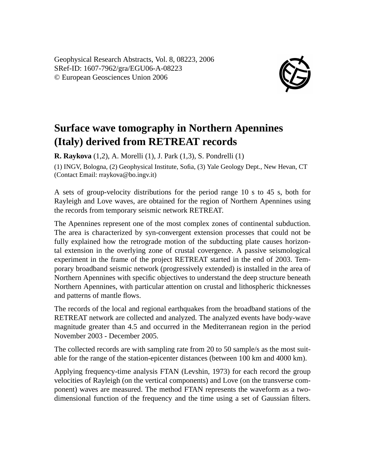Geophysical Research Abstracts, Vol. 8, 08223, 2006 SRef-ID: 1607-7962/gra/EGU06-A-08223 © European Geosciences Union 2006



## **Surface wave tomography in Northern Apennines (Italy) derived from RETREAT records**

**R. Raykova** (1,2), A. Morelli (1), J. Park (1,3), S. Pondrelli (1)

(1) INGV, Bologna, (2) Geophysical Institute, Sofia, (3) Yale Geology Dept., New Hevan, CT (Contact Email: rraykova@bo.ingv.it)

A sets of group-velocity distributions for the period range 10 s to 45 s, both for Rayleigh and Love waves, are obtained for the region of Northern Apennines using the records from temporary seismic network RETREAT.

The Apennines represent one of the most complex zones of continental subduction. The area is characterized by syn-convergent extension processes that could not be fully explained how the retrograde motion of the subducting plate causes horizontal extension in the overlying zone of crustal covergence. A passive seismological experiment in the frame of the project RETREAT started in the end of 2003. Temporary broadband seismic network (progressively extended) is installed in the area of Northern Apennines with specific objectives to understand the deep structure beneath Northern Apennines, with particular attention on crustal and lithospheric thicknesses and patterns of mantle flows.

The records of the local and regional earthquakes from the broadband stations of the RETREAT network are collected and analyzed. The analyzed events have body-wave magnitude greater than 4.5 and occurred in the Mediterranean region in the period November 2003 - December 2005.

The collected records are with sampling rate from 20 to 50 sample/s as the most suitable for the range of the station-epicenter distances (between 100 km and 4000 km).

Applying frequency-time analysis FTAN (Levshin, 1973) for each record the group velocities of Rayleigh (on the vertical components) and Love (on the transverse component) waves are measured. The method FTAN represents the waveform as a twodimensional function of the frequency and the time using a set of Gaussian filters.